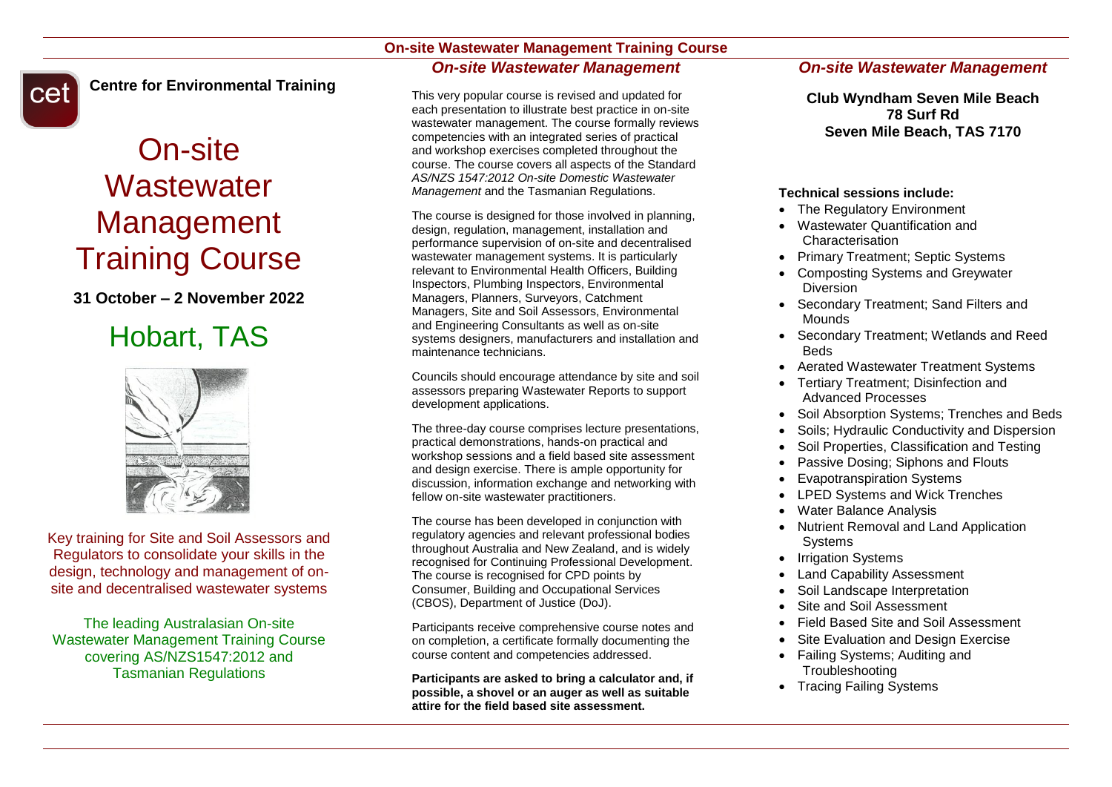## **On-site Wastewater Management Training Course** *On-site Wastewater Management*



**Centre for Environmental Training**

# On-site **Wastewater** Management Training Course

## **31 October – 2 November 2022**

## Hobart, TAS



Key training for Site and Soil Assessors and Regulators to consolidate your skills in the design, technology and management of onsite and decentralised wastewater systems

The leading Australasian On-site Wastewater Management Training Course covering AS/NZS1547:2012 and Tasmanian Regulations

This very popular course is revised and updated for each presentation to illustrate best practice in on-site wastewater management. The course formally reviews competencies with an integrated series of practical and workshop exercises completed throughout the course. The course covers all aspects of the Standard *AS/NZS 1547:2012 On-site Domestic Wastewater Management* and the Tasmanian Regulations.

The course is designed for those involved in planning, design, regulation, management, installation and performance supervision of on-site and decentralised wastewater management systems. It is particularly relevant to Environmental Health Officers, Building Inspectors, Plumbing Inspectors, Environmental Managers, Planners, Surveyors, Catchment Managers, Site and Soil Assessors, Environmental and Engineering Consultants as well as on-site systems designers, manufacturers and installation and maintenance technicians.

Councils should encourage attendance by site and soil assessors preparing Wastewater Reports to support development applications.

The three-day course comprises lecture presentations, practical demonstrations, hands-on practical and workshop sessions and a field based site assessment and design exercise. There is ample opportunity for discussion, information exchange and networking with fellow on-site wastewater practitioners.

The course has been developed in conjunction with regulatory agencies and relevant professional bodies throughout Australia and New Zealand, and is widely recognised for Continuing Professional Development. The course is recognised for CPD points by Consumer, Building and Occupational Services (CBOS), Department of Justice (DoJ).

Participants receive comprehensive course notes and on completion, a certificate formally documenting the course content and competencies addressed.

**Participants are asked to bring a calculator and, if possible, a shovel or an auger as well as suitable attire for the field based site assessment.**

## *On-site Wastewater Management*

**Club Wyndham Seven Mile Beach 78 Surf Rd Seven Mile Beach, TAS 7170**

### **Technical sessions include:**

- The Regulatory Environment
- Wastewater Quantification and Characterisation
- Primary Treatment; Septic Systems
- Composting Systems and Greywater Diversion
- Secondary Treatment: Sand Filters and Mounds
- Secondary Treatment; Wetlands and Reed Beds
- Aerated Wastewater Treatment Systems
- Tertiary Treatment: Disinfection and Advanced Processes
- Soil Absorption Systems; Trenches and Beds
- Soils; Hydraulic Conductivity and Dispersion
- Soil Properties, Classification and Testing
- Passive Dosing; Siphons and Flouts
- Evapotranspiration Systems
- LPED Systems and Wick Trenches
- Water Balance Analysis
- Nutrient Removal and Land Application **Systems**
- Irrigation Systems
- Land Capability Assessment
- Soil Landscape Interpretation
- Site and Soil Assessment
- Field Based Site and Soil Assessment
- Site Evaluation and Design Exercise
- Failing Systems; Auditing and **Troubleshooting**
- Tracing Failing Systems